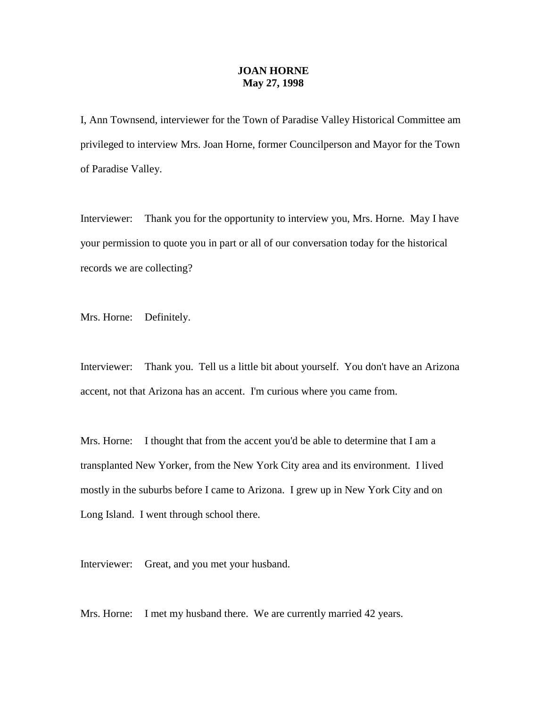## **JOAN HORNE May 27, 1998**

I, Ann Townsend, interviewer for the Town of Paradise Valley Historical Committee am privileged to interview Mrs. Joan Horne, former Councilperson and Mayor for the Town of Paradise Valley.

Interviewer: Thank you for the opportunity to interview you, Mrs. Horne. May I have your permission to quote you in part or all of our conversation today for the historical records we are collecting?

Mrs. Horne: Definitely.

Interviewer: Thank you. Tell us a little bit about yourself. You don't have an Arizona accent, not that Arizona has an accent. I'm curious where you came from.

Mrs. Horne: I thought that from the accent you'd be able to determine that I am a transplanted New Yorker, from the New York City area and its environment. I lived mostly in the suburbs before I came to Arizona. I grew up in New York City and on Long Island. I went through school there.

Interviewer: Great, and you met your husband.

Mrs. Horne: I met my husband there. We are currently married 42 years.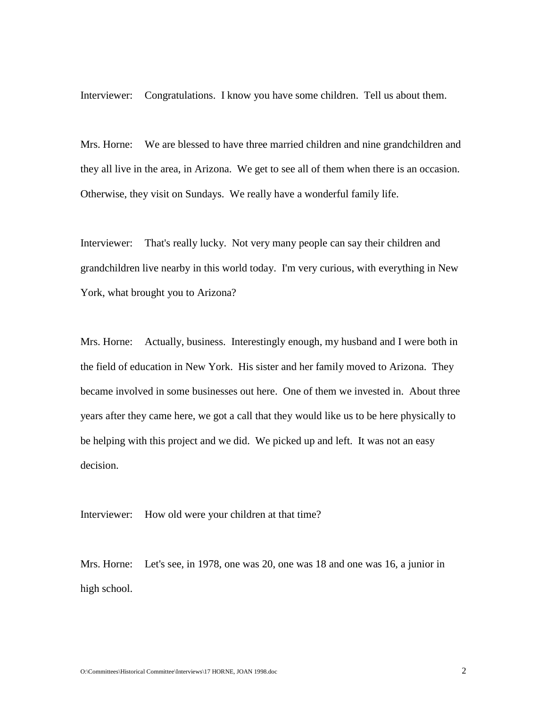Interviewer: Congratulations. I know you have some children. Tell us about them.

Mrs. Horne: We are blessed to have three married children and nine grandchildren and they all live in the area, in Arizona. We get to see all of them when there is an occasion. Otherwise, they visit on Sundays. We really have a wonderful family life.

Interviewer: That's really lucky. Not very many people can say their children and grandchildren live nearby in this world today. I'm very curious, with everything in New York, what brought you to Arizona?

Mrs. Horne: Actually, business. Interestingly enough, my husband and I were both in the field of education in New York. His sister and her family moved to Arizona. They became involved in some businesses out here. One of them we invested in. About three years after they came here, we got a call that they would like us to be here physically to be helping with this project and we did. We picked up and left. It was not an easy decision.

Interviewer: How old were your children at that time?

Mrs. Horne: Let's see, in 1978, one was 20, one was 18 and one was 16, a junior in high school.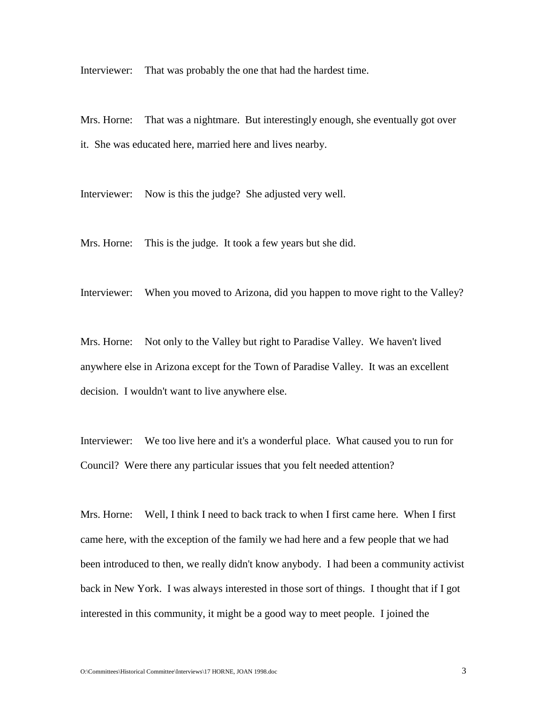Interviewer: That was probably the one that had the hardest time.

Mrs. Horne: That was a nightmare. But interestingly enough, she eventually got over it. She was educated here, married here and lives nearby.

Interviewer: Now is this the judge? She adjusted very well.

Mrs. Horne: This is the judge. It took a few years but she did.

Interviewer: When you moved to Arizona, did you happen to move right to the Valley?

Mrs. Horne: Not only to the Valley but right to Paradise Valley. We haven't lived anywhere else in Arizona except for the Town of Paradise Valley. It was an excellent decision. I wouldn't want to live anywhere else.

Interviewer: We too live here and it's a wonderful place. What caused you to run for Council? Were there any particular issues that you felt needed attention?

Mrs. Horne: Well, I think I need to back track to when I first came here. When I first came here, with the exception of the family we had here and a few people that we had been introduced to then, we really didn't know anybody. I had been a community activist back in New York. I was always interested in those sort of things. I thought that if I got interested in this community, it might be a good way to meet people. I joined the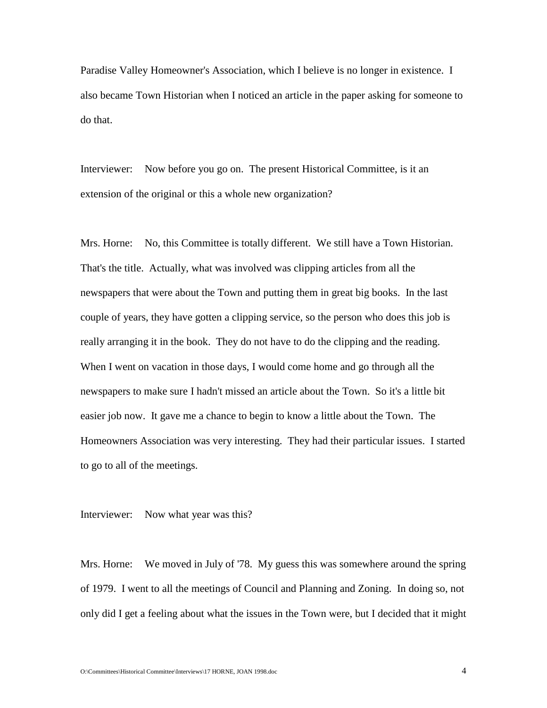Paradise Valley Homeowner's Association, which I believe is no longer in existence. I also became Town Historian when I noticed an article in the paper asking for someone to do that.

Interviewer: Now before you go on. The present Historical Committee, is it an extension of the original or this a whole new organization?

Mrs. Horne: No, this Committee is totally different. We still have a Town Historian. That's the title. Actually, what was involved was clipping articles from all the newspapers that were about the Town and putting them in great big books. In the last couple of years, they have gotten a clipping service, so the person who does this job is really arranging it in the book. They do not have to do the clipping and the reading. When I went on vacation in those days, I would come home and go through all the newspapers to make sure I hadn't missed an article about the Town. So it's a little bit easier job now. It gave me a chance to begin to know a little about the Town. The Homeowners Association was very interesting. They had their particular issues. I started to go to all of the meetings.

Interviewer: Now what year was this?

Mrs. Horne: We moved in July of '78. My guess this was somewhere around the spring of 1979. I went to all the meetings of Council and Planning and Zoning. In doing so, not only did I get a feeling about what the issues in the Town were, but I decided that it might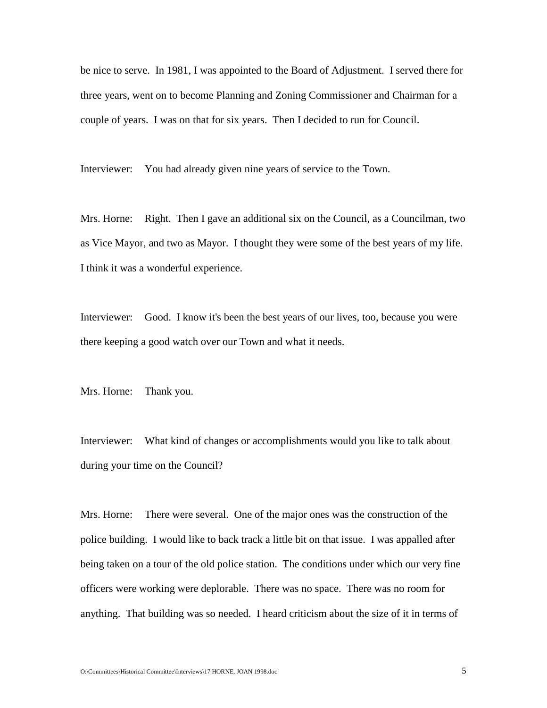be nice to serve. In 1981, I was appointed to the Board of Adjustment. I served there for three years, went on to become Planning and Zoning Commissioner and Chairman for a couple of years. I was on that for six years. Then I decided to run for Council.

Interviewer: You had already given nine years of service to the Town.

Mrs. Horne: Right. Then I gave an additional six on the Council, as a Councilman, two as Vice Mayor, and two as Mayor. I thought they were some of the best years of my life. I think it was a wonderful experience.

Interviewer: Good. I know it's been the best years of our lives, too, because you were there keeping a good watch over our Town and what it needs.

Mrs. Horne: Thank you.

Interviewer: What kind of changes or accomplishments would you like to talk about during your time on the Council?

Mrs. Horne: There were several. One of the major ones was the construction of the police building. I would like to back track a little bit on that issue. I was appalled after being taken on a tour of the old police station. The conditions under which our very fine officers were working were deplorable. There was no space. There was no room for anything. That building was so needed. I heard criticism about the size of it in terms of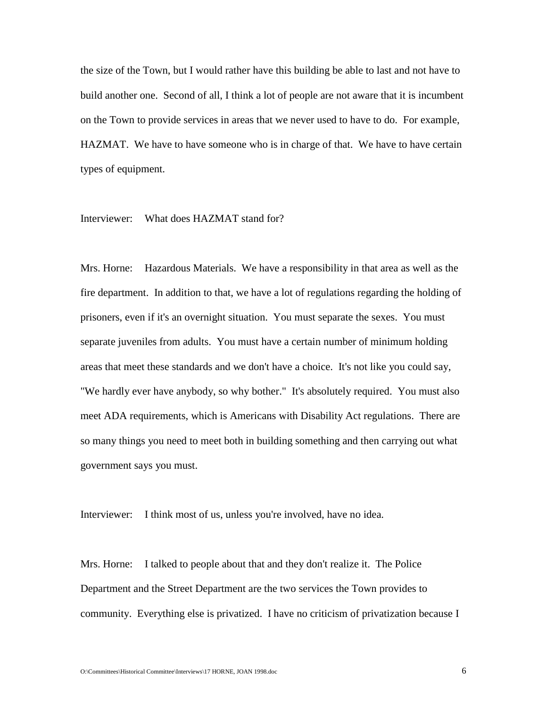the size of the Town, but I would rather have this building be able to last and not have to build another one. Second of all, I think a lot of people are not aware that it is incumbent on the Town to provide services in areas that we never used to have to do. For example, HAZMAT. We have to have someone who is in charge of that. We have to have certain types of equipment.

## Interviewer: What does HAZMAT stand for?

Mrs. Horne: Hazardous Materials. We have a responsibility in that area as well as the fire department. In addition to that, we have a lot of regulations regarding the holding of prisoners, even if it's an overnight situation. You must separate the sexes. You must separate juveniles from adults. You must have a certain number of minimum holding areas that meet these standards and we don't have a choice. It's not like you could say, "We hardly ever have anybody, so why bother." It's absolutely required. You must also meet ADA requirements, which is Americans with Disability Act regulations. There are so many things you need to meet both in building something and then carrying out what government says you must.

Interviewer: I think most of us, unless you're involved, have no idea.

Mrs. Horne: I talked to people about that and they don't realize it. The Police Department and the Street Department are the two services the Town provides to community. Everything else is privatized. I have no criticism of privatization because I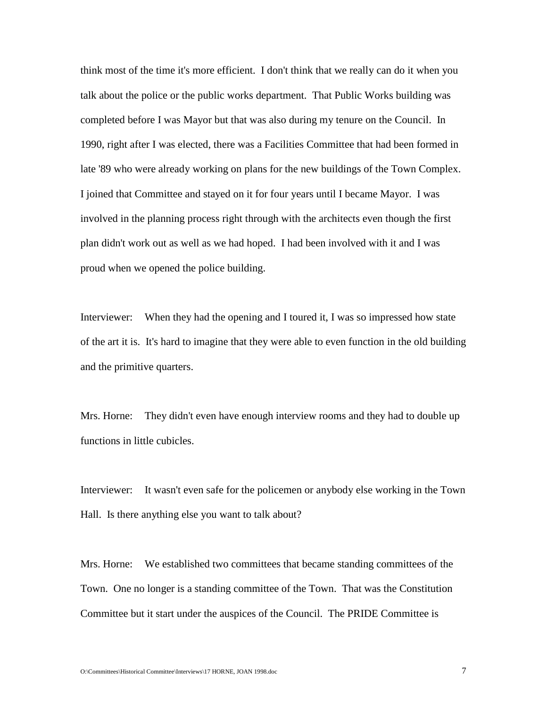think most of the time it's more efficient. I don't think that we really can do it when you talk about the police or the public works department. That Public Works building was completed before I was Mayor but that was also during my tenure on the Council. In 1990, right after I was elected, there was a Facilities Committee that had been formed in late '89 who were already working on plans for the new buildings of the Town Complex. I joined that Committee and stayed on it for four years until I became Mayor. I was involved in the planning process right through with the architects even though the first plan didn't work out as well as we had hoped. I had been involved with it and I was proud when we opened the police building.

Interviewer: When they had the opening and I toured it, I was so impressed how state of the art it is. It's hard to imagine that they were able to even function in the old building and the primitive quarters.

Mrs. Horne: They didn't even have enough interview rooms and they had to double up functions in little cubicles.

Interviewer: It wasn't even safe for the policemen or anybody else working in the Town Hall. Is there anything else you want to talk about?

Mrs. Horne: We established two committees that became standing committees of the Town. One no longer is a standing committee of the Town. That was the Constitution Committee but it start under the auspices of the Council. The PRIDE Committee is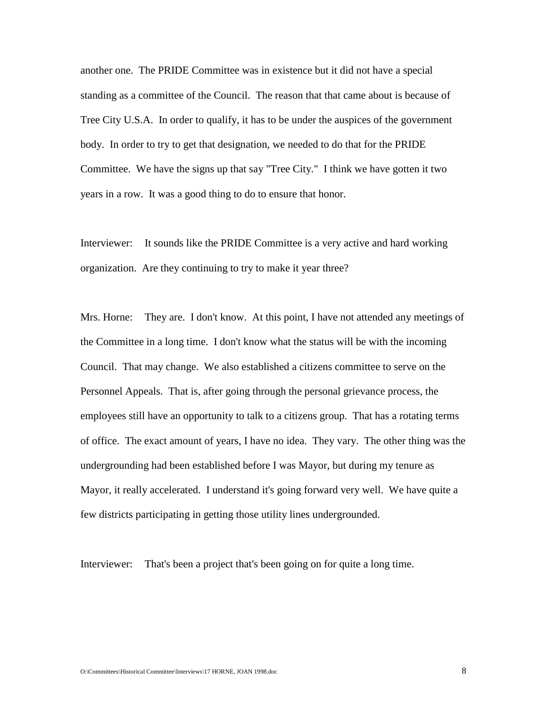another one. The PRIDE Committee was in existence but it did not have a special standing as a committee of the Council. The reason that that came about is because of Tree City U.S.A. In order to qualify, it has to be under the auspices of the government body. In order to try to get that designation, we needed to do that for the PRIDE Committee. We have the signs up that say "Tree City." I think we have gotten it two years in a row. It was a good thing to do to ensure that honor.

Interviewer: It sounds like the PRIDE Committee is a very active and hard working organization. Are they continuing to try to make it year three?

Mrs. Horne: They are. I don't know. At this point, I have not attended any meetings of the Committee in a long time. I don't know what the status will be with the incoming Council. That may change. We also established a citizens committee to serve on the Personnel Appeals. That is, after going through the personal grievance process, the employees still have an opportunity to talk to a citizens group. That has a rotating terms of office. The exact amount of years, I have no idea. They vary. The other thing was the undergrounding had been established before I was Mayor, but during my tenure as Mayor, it really accelerated. I understand it's going forward very well. We have quite a few districts participating in getting those utility lines undergrounded.

Interviewer: That's been a project that's been going on for quite a long time.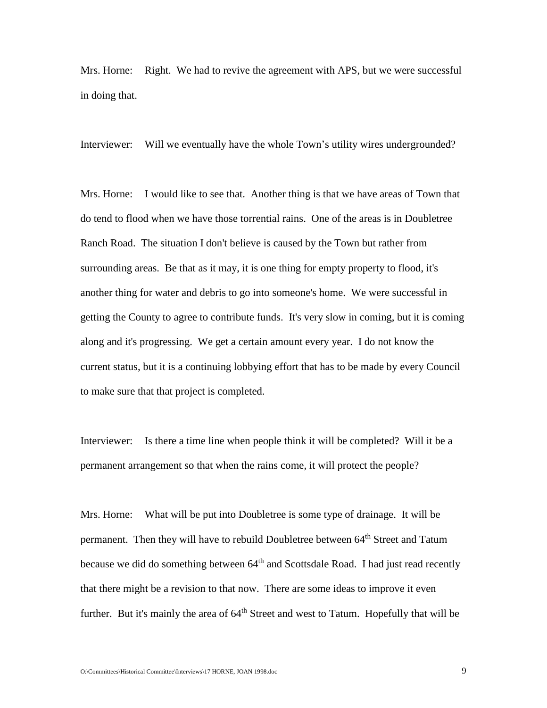Mrs. Horne: Right. We had to revive the agreement with APS, but we were successful in doing that.

Interviewer: Will we eventually have the whole Town's utility wires undergrounded?

Mrs. Horne: I would like to see that. Another thing is that we have areas of Town that do tend to flood when we have those torrential rains. One of the areas is in Doubletree Ranch Road. The situation I don't believe is caused by the Town but rather from surrounding areas. Be that as it may, it is one thing for empty property to flood, it's another thing for water and debris to go into someone's home. We were successful in getting the County to agree to contribute funds. It's very slow in coming, but it is coming along and it's progressing. We get a certain amount every year. I do not know the current status, but it is a continuing lobbying effort that has to be made by every Council to make sure that that project is completed.

Interviewer: Is there a time line when people think it will be completed? Will it be a permanent arrangement so that when the rains come, it will protect the people?

Mrs. Horne: What will be put into Doubletree is some type of drainage. It will be permanent. Then they will have to rebuild Doubletree between 64<sup>th</sup> Street and Tatum because we did do something between 64<sup>th</sup> and Scottsdale Road. I had just read recently that there might be a revision to that now. There are some ideas to improve it even further. But it's mainly the area of 64<sup>th</sup> Street and west to Tatum. Hopefully that will be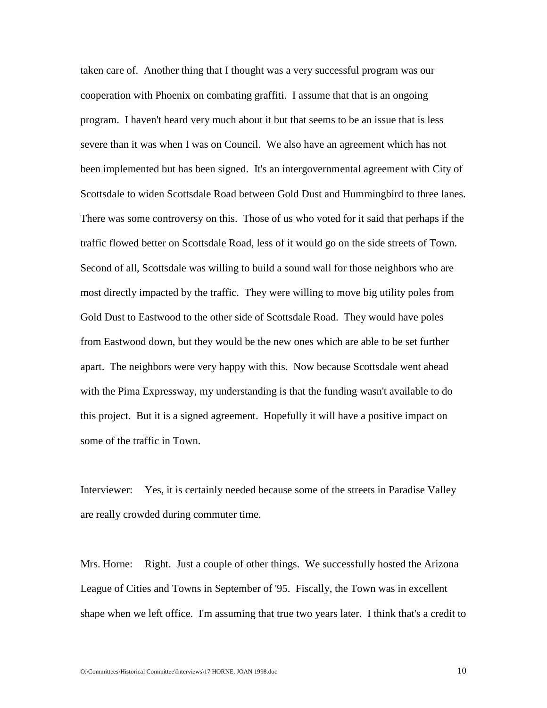taken care of. Another thing that I thought was a very successful program was our cooperation with Phoenix on combating graffiti. I assume that that is an ongoing program. I haven't heard very much about it but that seems to be an issue that is less severe than it was when I was on Council. We also have an agreement which has not been implemented but has been signed. It's an intergovernmental agreement with City of Scottsdale to widen Scottsdale Road between Gold Dust and Hummingbird to three lanes. There was some controversy on this. Those of us who voted for it said that perhaps if the traffic flowed better on Scottsdale Road, less of it would go on the side streets of Town. Second of all, Scottsdale was willing to build a sound wall for those neighbors who are most directly impacted by the traffic. They were willing to move big utility poles from Gold Dust to Eastwood to the other side of Scottsdale Road. They would have poles from Eastwood down, but they would be the new ones which are able to be set further apart. The neighbors were very happy with this. Now because Scottsdale went ahead with the Pima Expressway, my understanding is that the funding wasn't available to do this project. But it is a signed agreement. Hopefully it will have a positive impact on some of the traffic in Town.

Interviewer: Yes, it is certainly needed because some of the streets in Paradise Valley are really crowded during commuter time.

Mrs. Horne: Right. Just a couple of other things. We successfully hosted the Arizona League of Cities and Towns in September of '95. Fiscally, the Town was in excellent shape when we left office. I'm assuming that true two years later. I think that's a credit to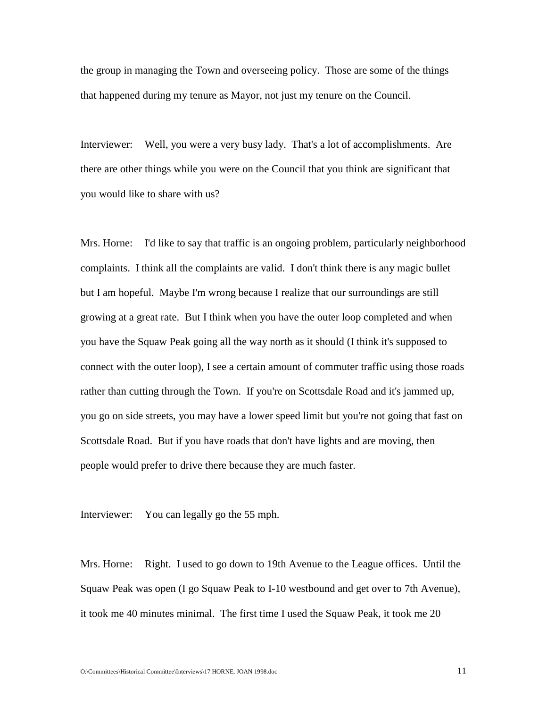the group in managing the Town and overseeing policy. Those are some of the things that happened during my tenure as Mayor, not just my tenure on the Council.

Interviewer: Well, you were a very busy lady. That's a lot of accomplishments. Are there are other things while you were on the Council that you think are significant that you would like to share with us?

Mrs. Horne: I'd like to say that traffic is an ongoing problem, particularly neighborhood complaints. I think all the complaints are valid. I don't think there is any magic bullet but I am hopeful. Maybe I'm wrong because I realize that our surroundings are still growing at a great rate. But I think when you have the outer loop completed and when you have the Squaw Peak going all the way north as it should (I think it's supposed to connect with the outer loop), I see a certain amount of commuter traffic using those roads rather than cutting through the Town. If you're on Scottsdale Road and it's jammed up, you go on side streets, you may have a lower speed limit but you're not going that fast on Scottsdale Road. But if you have roads that don't have lights and are moving, then people would prefer to drive there because they are much faster.

Interviewer: You can legally go the 55 mph.

Mrs. Horne: Right. I used to go down to 19th Avenue to the League offices. Until the Squaw Peak was open (I go Squaw Peak to I-10 westbound and get over to 7th Avenue), it took me 40 minutes minimal. The first time I used the Squaw Peak, it took me 20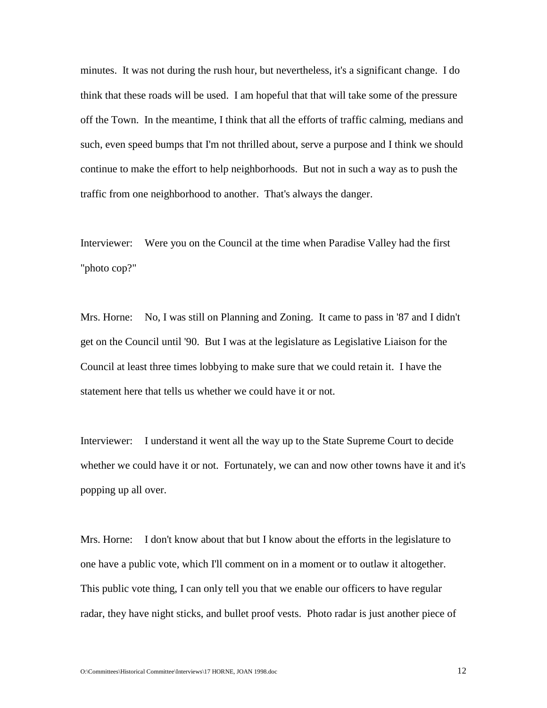minutes. It was not during the rush hour, but nevertheless, it's a significant change. I do think that these roads will be used. I am hopeful that that will take some of the pressure off the Town. In the meantime, I think that all the efforts of traffic calming, medians and such, even speed bumps that I'm not thrilled about, serve a purpose and I think we should continue to make the effort to help neighborhoods. But not in such a way as to push the traffic from one neighborhood to another. That's always the danger.

Interviewer: Were you on the Council at the time when Paradise Valley had the first "photo cop?"

Mrs. Horne: No, I was still on Planning and Zoning. It came to pass in '87 and I didn't get on the Council until '90. But I was at the legislature as Legislative Liaison for the Council at least three times lobbying to make sure that we could retain it. I have the statement here that tells us whether we could have it or not.

Interviewer: I understand it went all the way up to the State Supreme Court to decide whether we could have it or not. Fortunately, we can and now other towns have it and it's popping up all over.

Mrs. Horne: I don't know about that but I know about the efforts in the legislature to one have a public vote, which I'll comment on in a moment or to outlaw it altogether. This public vote thing, I can only tell you that we enable our officers to have regular radar, they have night sticks, and bullet proof vests. Photo radar is just another piece of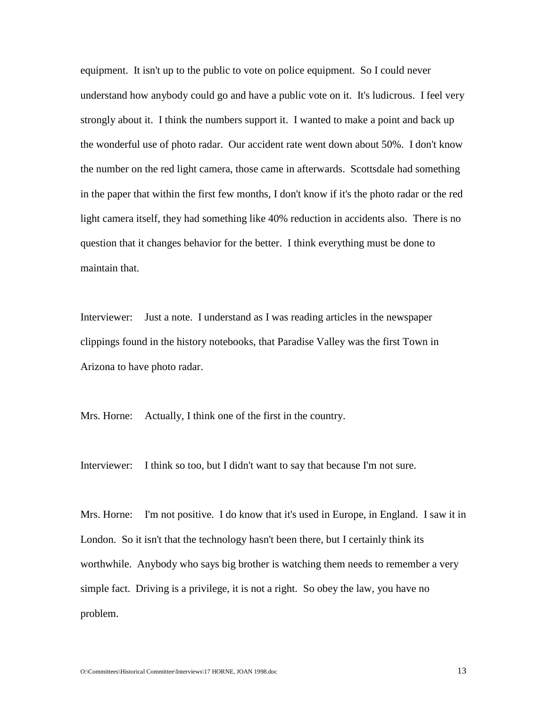equipment. It isn't up to the public to vote on police equipment. So I could never understand how anybody could go and have a public vote on it. It's ludicrous. I feel very strongly about it. I think the numbers support it. I wanted to make a point and back up the wonderful use of photo radar. Our accident rate went down about 50%. I don't know the number on the red light camera, those came in afterwards. Scottsdale had something in the paper that within the first few months, I don't know if it's the photo radar or the red light camera itself, they had something like 40% reduction in accidents also. There is no question that it changes behavior for the better. I think everything must be done to maintain that.

Interviewer: Just a note. I understand as I was reading articles in the newspaper clippings found in the history notebooks, that Paradise Valley was the first Town in Arizona to have photo radar.

Mrs. Horne: Actually, I think one of the first in the country.

Interviewer: I think so too, but I didn't want to say that because I'm not sure.

Mrs. Horne: I'm not positive. I do know that it's used in Europe, in England. I saw it in London. So it isn't that the technology hasn't been there, but I certainly think its worthwhile. Anybody who says big brother is watching them needs to remember a very simple fact. Driving is a privilege, it is not a right. So obey the law, you have no problem.